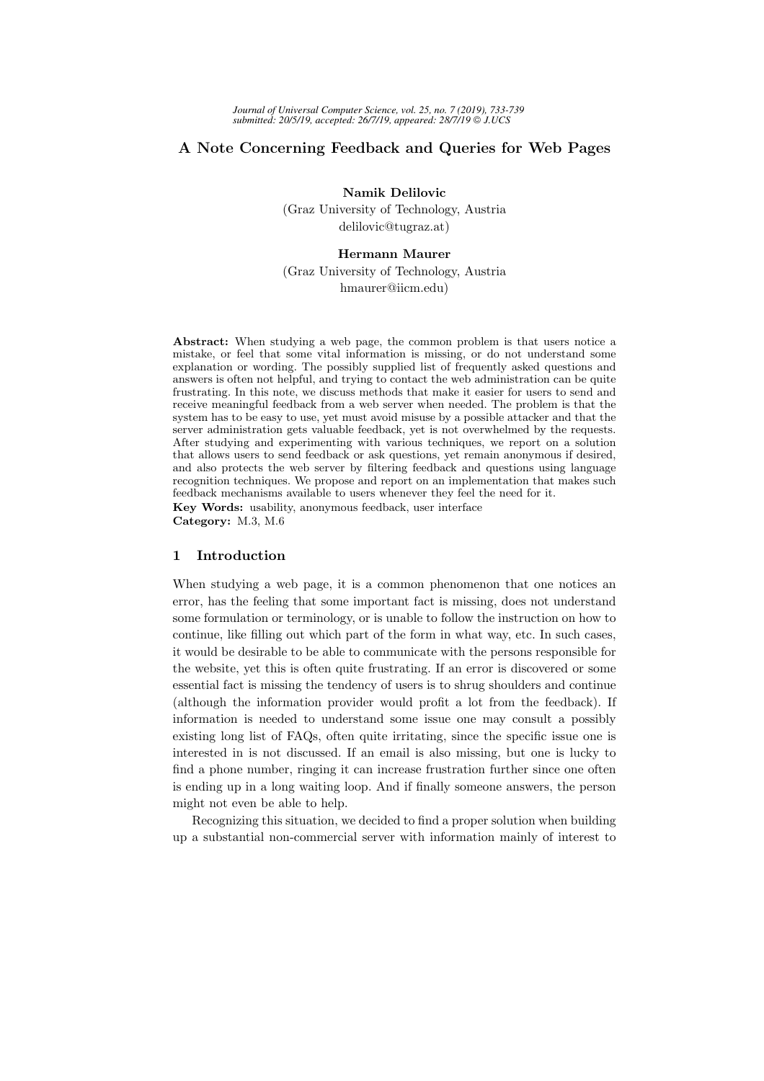# A Note Concerning Feedback and Queries for Web Pages

Namik Delilovic

(Graz University of Technology, Austria delilovic@tugraz.at)

#### Hermann Maurer

(Graz University of Technology, Austria hmaurer@iicm.edu)

Abstract: When studying a web page, the common problem is that users notice a mistake, or feel that some vital information is missing, or do not understand some explanation or wording. The possibly supplied list of frequently asked questions and answers is often not helpful, and trying to contact the web administration can be quite frustrating. In this note, we discuss methods that make it easier for users to send and receive meaningful feedback from a web server when needed. The problem is that the system has to be easy to use, yet must avoid misuse by a possible attacker and that the server administration gets valuable feedback, yet is not overwhelmed by the requests. After studying and experimenting with various techniques, we report on a solution that allows users to send feedback or ask questions, yet remain anonymous if desired, and also protects the web server by filtering feedback and questions using language recognition techniques. We propose and report on an implementation that makes such feedback mechanisms available to users whenever they feel the need for it. Key Words: usability, anonymous feedback, user interface Category: M.3, M.6

#### 1 Introduction

When studying a web page, it is a common phenomenon that one notices an error, has the feeling that some important fact is missing, does not understand some formulation or terminology, or is unable to follow the instruction on how to continue, like filling out which part of the form in what way, etc. In such cases, it would be desirable to be able to communicate with the persons responsible for the website, yet this is often quite frustrating. If an error is discovered or some essential fact is missing the tendency of users is to shrug shoulders and continue (although the information provider would profit a lot from the feedback). If information is needed to understand some issue one may consult a possibly existing long list of FAQs, often quite irritating, since the specific issue one is interested in is not discussed. If an email is also missing, but one is lucky to find a phone number, ringing it can increase frustration further since one often is ending up in a long waiting loop. And if finally someone answers, the person might not even be able to help.

Recognizing this situation, we decided to find a proper solution when building up a substantial non-commercial server with information mainly of interest to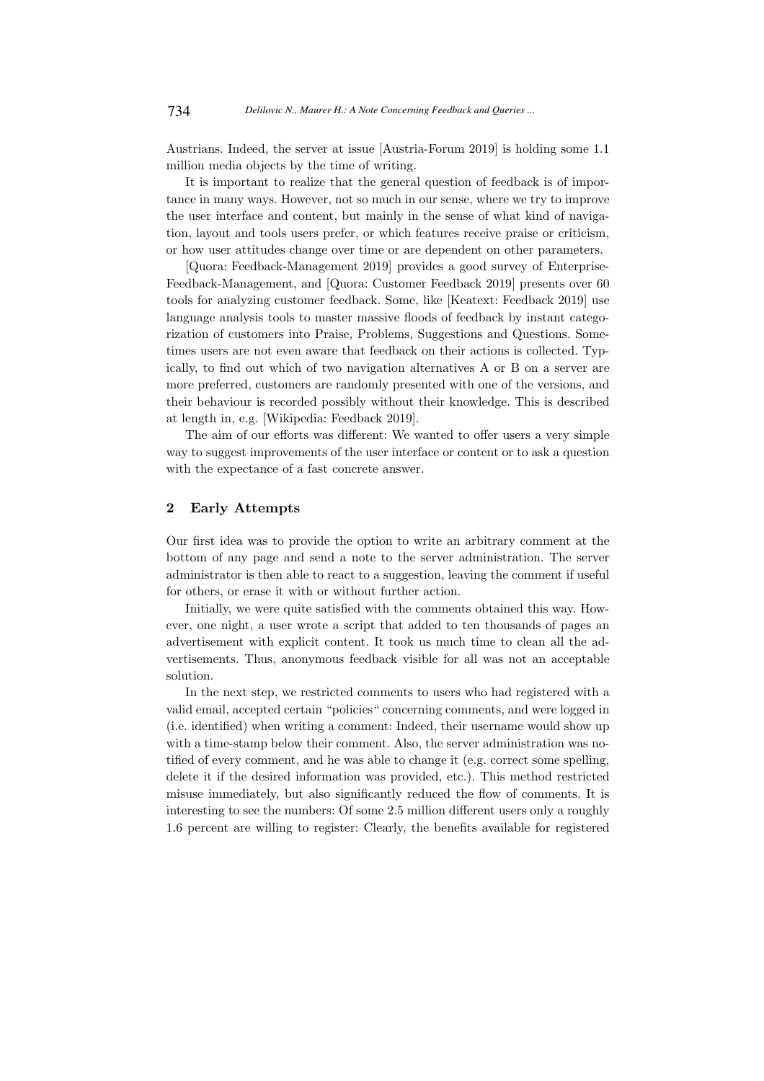Austrians. Indeed, the server at issue [Austria-Forum 2019] is holding some 1.1 million media objects by the time of writing.

It is important to realize that the general question of feedback is of importance in many ways. However, not so much in our sense, where we try to improve the user interface and content, but mainly in the sense of what kind of navigation, layout and tools users prefer, or which features receive praise or criticism, or how user attitudes change over time or are dependent on other parameters.

[Quora: Feedback-Management 2019] provides a good survey of Enterprise-Feedback-Management, and [Quora: Customer Feedback 2019] presents over 60 tools for analyzing customer feedback. Some, like [Keatext: Feedback 2019] use language analysis tools to master massive floods of feedback by instant categorization of customers into Praise, Problems, Suggestions and Questions. Sometimes users are not even aware that feedback on their actions is collected. Typically, to find out which of two navigation alternatives A or B on a server are more preferred, customers are randomly presented with one of the versions, and their behaviour is recorded possibly without their knowledge. This is described at length in, e.g. [Wikipedia: Feedback 2019].

The aim of our efforts was different: We wanted to offer users a very simple way to suggest improvements of the user interface or content or to ask a question with the expectance of a fast concrete answer.

### 2 Early Attempts

Our first idea was to provide the option to write an arbitrary comment at the bottom of any page and send a note to the server administration. The server administrator is then able to react to a suggestion, leaving the comment if useful for others, or erase it with or without further action.

Initially, we were quite satisfied with the comments obtained this way. However, one night, a user wrote a script that added to ten thousands of pages an advertisement with explicit content. It took us much time to clean all the advertisements. Thus, anonymous feedback visible for all was not an acceptable solution.

In the next step, we restricted comments to users who had registered with a valid email, accepted certain "policies" concerning comments, and were logged in (i.e. identified) when writing a comment: Indeed, their username would show up with a time-stamp below their comment. Also, the server administration was notified of every comment, and he was able to change it (e.g. correct some spelling, delete it if the desired information was provided, etc.). This method restricted misuse immediately, but also significantly reduced the flow of comments. It is interesting to see the numbers: Of some 2.5 million different users only a roughly 1.6 percent are willing to register: Clearly, the benefits available for registered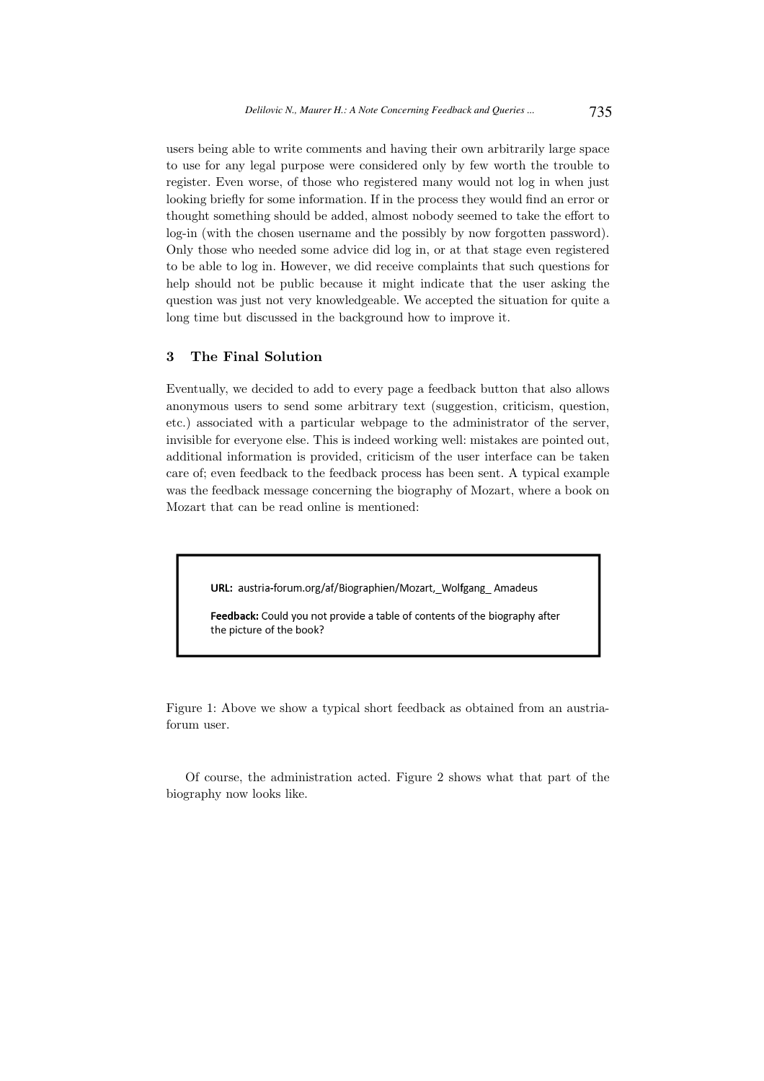users being able to write comments and having their own arbitrarily large space to use for any legal purpose were considered only by few worth the trouble to register. Even worse, of those who registered many would not log in when just looking briefly for some information. If in the process they would find an error or thought something should be added, almost nobody seemed to take the effort to log-in (with the chosen username and the possibly by now forgotten password). Only those who needed some advice did log in, or at that stage even registered to be able to log in. However, we did receive complaints that such questions for help should not be public because it might indicate that the user asking the question was just not very knowledgeable. We accepted the situation for quite a long time but discussed in the background how to improve it.

# 3 The Final Solution

Eventually, we decided to add to every page a feedback button that also allows anonymous users to send some arbitrary text (suggestion, criticism, question, etc.) associated with a particular webpage to the administrator of the server, invisible for everyone else. This is indeed working well: mistakes are pointed out, additional information is provided, criticism of the user interface can be taken care of; even feedback to the feedback process has been sent. A typical example was the feedback message concerning the biography of Mozart, where a book on Mozart that can be read online is mentioned:

URL: austria-forum.org/af/Biographien/Mozart, Wolfgang Amadeus

Feedback: Could you not provide a table of contents of the biography after the picture of the book?

Figure 1: Above we show a typical short feedback as obtained from an austriaforum user.

Of course, the administration acted. Figure 2 shows what that part of the biography now looks like.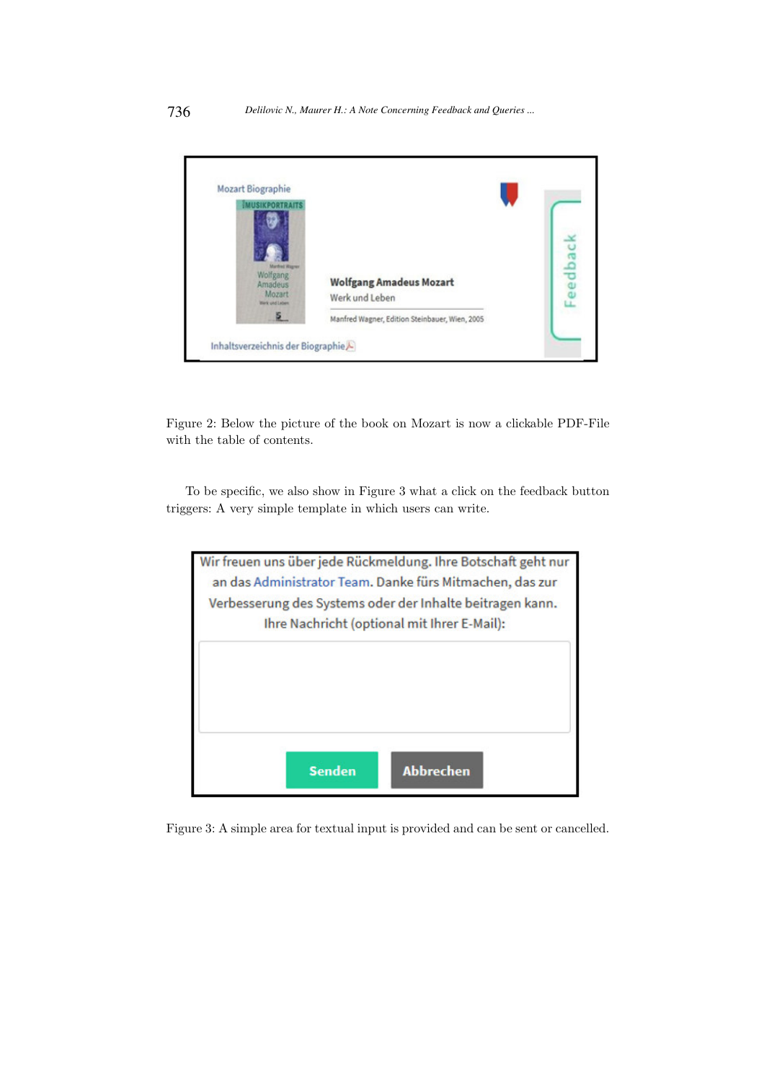| <b>Mozart Biographie</b><br><b>SIXPORTRAITS</b>                            |                                                  |  |
|----------------------------------------------------------------------------|--------------------------------------------------|--|
| <b>Mardinal Wagner</b><br>Wolfgang<br>Amadeus<br>Mozart<br>Werk und Lebert | <b>Wolfgang Amadeus Mozart</b><br>Werk und Leben |  |
| s.                                                                         | Manfred Wagner, Edition Steinbauer, Wien, 2005   |  |

Figure 2: Below the picture of the book on Mozart is now a clickable PDF-File with the table of contents.

To be specific, we also show in Figure 3 what a click on the feedback button triggers: A very simple template in which users can write.



Figure 3: A simple area for textual input is provided and can be sent or cancelled.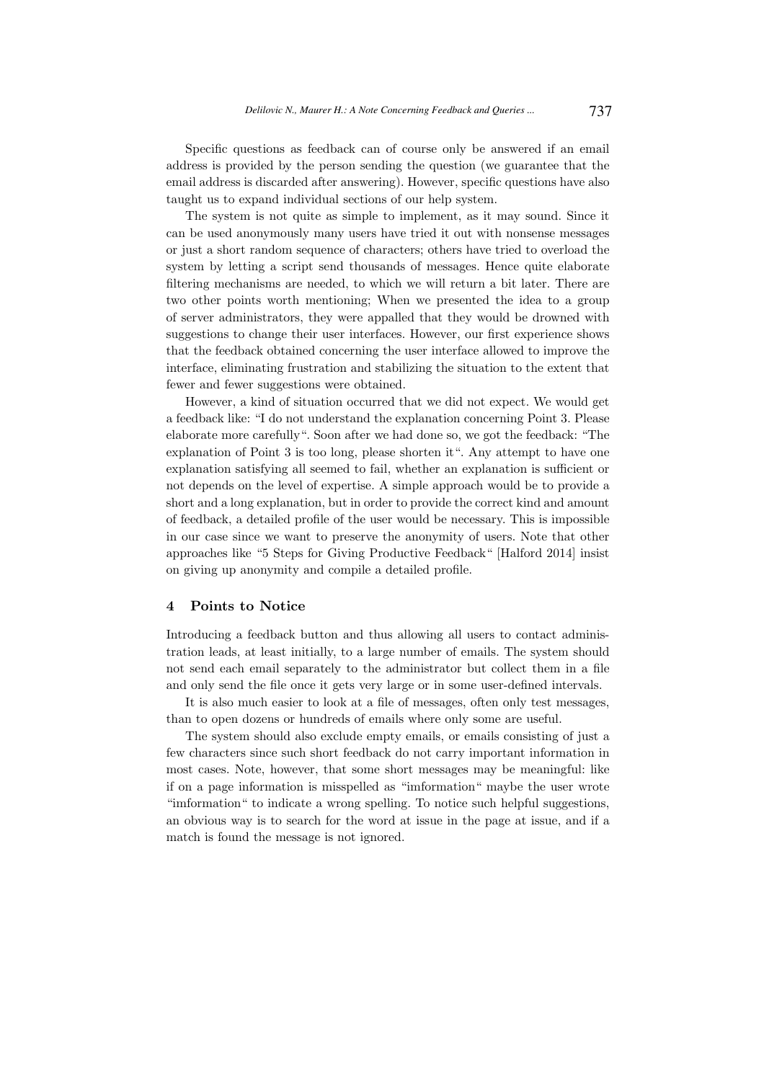Specific questions as feedback can of course only be answered if an email address is provided by the person sending the question (we guarantee that the email address is discarded after answering). However, specific questions have also taught us to expand individual sections of our help system.

The system is not quite as simple to implement, as it may sound. Since it can be used anonymously many users have tried it out with nonsense messages or just a short random sequence of characters; others have tried to overload the system by letting a script send thousands of messages. Hence quite elaborate filtering mechanisms are needed, to which we will return a bit later. There are two other points worth mentioning; When we presented the idea to a group of server administrators, they were appalled that they would be drowned with suggestions to change their user interfaces. However, our first experience shows that the feedback obtained concerning the user interface allowed to improve the interface, eliminating frustration and stabilizing the situation to the extent that fewer and fewer suggestions were obtained.

However, a kind of situation occurred that we did not expect. We would get a feedback like: "I do not understand the explanation concerning Point 3. Please elaborate more carefully". Soon after we had done so, we got the feedback: "The explanation of Point 3 is too long, please shorten it". Any attempt to have one explanation satisfying all seemed to fail, whether an explanation is sufficient or not depends on the level of expertise. A simple approach would be to provide a short and a long explanation, but in order to provide the correct kind and amount of feedback, a detailed profile of the user would be necessary. This is impossible in our case since we want to preserve the anonymity of users. Note that other approaches like "5 Steps for Giving Productive Feedback" [Halford 2014] insist on giving up anonymity and compile a detailed profile.

#### 4 Points to Notice

Introducing a feedback button and thus allowing all users to contact administration leads, at least initially, to a large number of emails. The system should not send each email separately to the administrator but collect them in a file and only send the file once it gets very large or in some user-defined intervals.

It is also much easier to look at a file of messages, often only test messages, than to open dozens or hundreds of emails where only some are useful.

The system should also exclude empty emails, or emails consisting of just a few characters since such short feedback do not carry important information in most cases. Note, however, that some short messages may be meaningful: like if on a page information is misspelled as "imformation" maybe the user wrote "imformation" to indicate a wrong spelling. To notice such helpful suggestions, an obvious way is to search for the word at issue in the page at issue, and if a match is found the message is not ignored.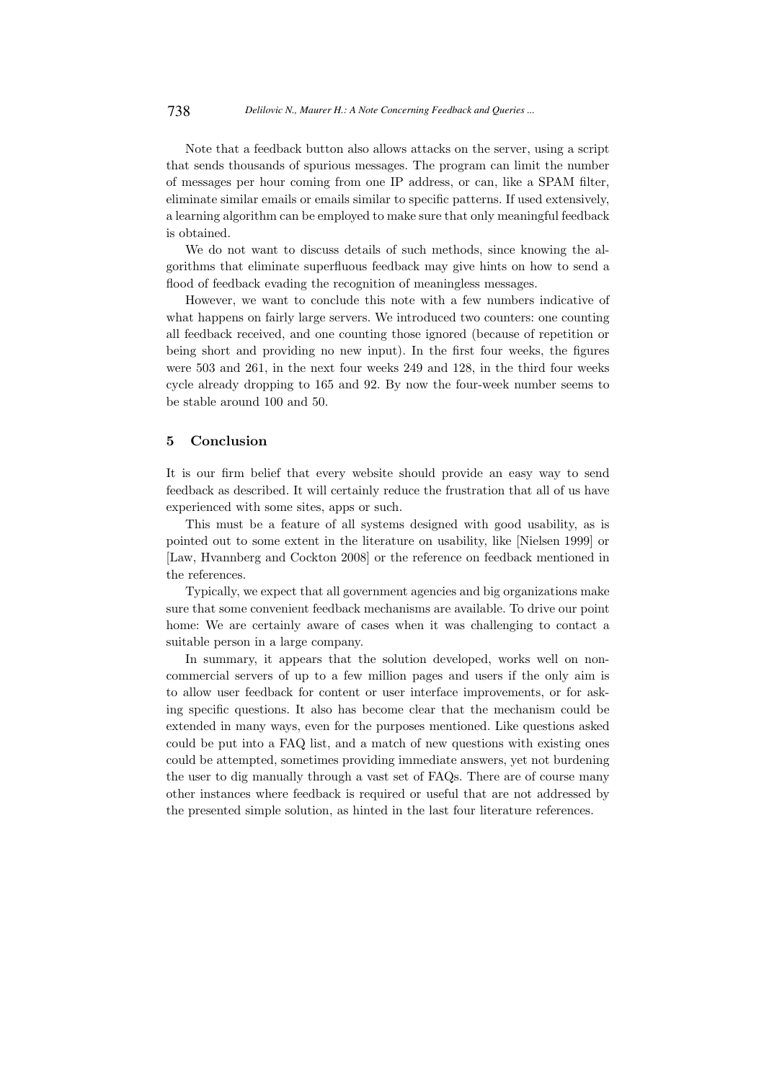Note that a feedback button also allows attacks on the server, using a script that sends thousands of spurious messages. The program can limit the number of messages per hour coming from one IP address, or can, like a SPAM filter, eliminate similar emails or emails similar to specific patterns. If used extensively, a learning algorithm can be employed to make sure that only meaningful feedback is obtained.

We do not want to discuss details of such methods, since knowing the algorithms that eliminate superfluous feedback may give hints on how to send a flood of feedback evading the recognition of meaningless messages.

However, we want to conclude this note with a few numbers indicative of what happens on fairly large servers. We introduced two counters: one counting all feedback received, and one counting those ignored (because of repetition or being short and providing no new input). In the first four weeks, the figures were 503 and 261, in the next four weeks 249 and 128, in the third four weeks cycle already dropping to 165 and 92. By now the four-week number seems to be stable around 100 and 50.

# 5 Conclusion

It is our firm belief that every website should provide an easy way to send feedback as described. It will certainly reduce the frustration that all of us have experienced with some sites, apps or such.

This must be a feature of all systems designed with good usability, as is pointed out to some extent in the literature on usability, like [Nielsen 1999] or [Law, Hvannberg and Cockton 2008] or the reference on feedback mentioned in the references.

Typically, we expect that all government agencies and big organizations make sure that some convenient feedback mechanisms are available. To drive our point home: We are certainly aware of cases when it was challenging to contact a suitable person in a large company.

In summary, it appears that the solution developed, works well on noncommercial servers of up to a few million pages and users if the only aim is to allow user feedback for content or user interface improvements, or for asking specific questions. It also has become clear that the mechanism could be extended in many ways, even for the purposes mentioned. Like questions asked could be put into a FAQ list, and a match of new questions with existing ones could be attempted, sometimes providing immediate answers, yet not burdening the user to dig manually through a vast set of FAQs. There are of course many other instances where feedback is required or useful that are not addressed by the presented simple solution, as hinted in the last four literature references.